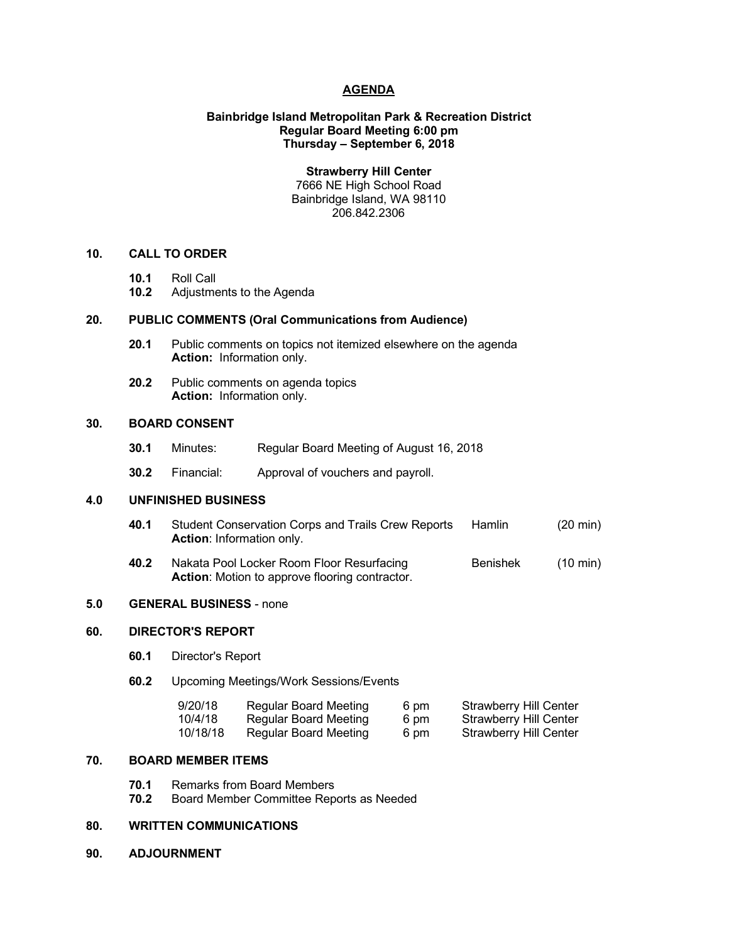### **AGENDA**

#### **Bainbridge Island Metropolitan Park & Recreation District Regular Board Meeting 6:00 pm Thursday – September 6, 2018**

**Strawberry Hill Center** 7666 NE High School Road Bainbridge Island, WA 98110 206.842.2306

#### **10. CALL TO ORDER**

- **10.1** Roll Call
- **10.2** Adjustments to the Agenda

#### **20. PUBLIC COMMENTS (Oral Communications from Audience)**

- **20.1** Public comments on topics not itemized elsewhere on the agenda **Action:** Information only.
- **20.2** Public comments on agenda topics **Action:** Information only.

## **30. BOARD CONSENT**

- **30.1** Minutes: Regular Board Meeting of August 16, 2018
- **30.2** Financial: Approval of vouchers and payroll.

#### **4.0 UNFINISHED BUSINESS**

- **40.1** Student Conservation Corps and Trails Crew Reports Hamlin (20 min) **Action**: Information only.
- **40.2** Nakata Pool Locker Room Floor Resurfacing Benishek (10 min) **Action**: Motion to approve flooring contractor.

#### **5.0 GENERAL BUSINESS** - none

## **60. DIRECTOR'S REPORT**

- **60.1** Director's Report
- **60.2** Upcoming Meetings/Work Sessions/Events

| 9/20/18  | Regular Board Meeting | 6 pm | <b>Strawberry Hill Center</b> |
|----------|-----------------------|------|-------------------------------|
| 10/4/18  | Regular Board Meeting | 6 pm | <b>Strawberry Hill Center</b> |
| 10/18/18 | Regular Board Meeting | 6 pm | <b>Strawberry Hill Center</b> |

# **70. BOARD MEMBER ITEMS**

- **70.1** Remarks from Board Members
- **70.2** Board Member Committee Reports as Needed

## **80. WRITTEN COMMUNICATIONS**

**90. ADJOURNMENT**